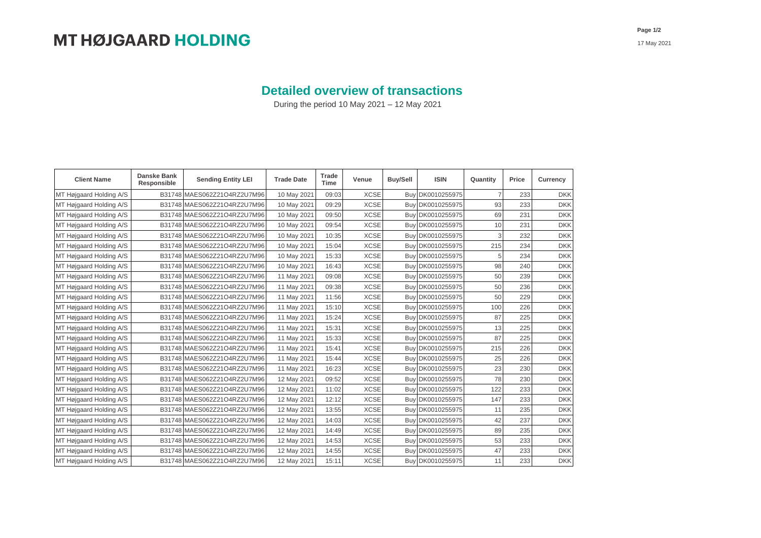## **Detailed overview of transactions**

During the period 10 May 2021 – 12 May 2021

| <b>Client Name</b>      | <b>Danske Bank</b><br>Responsible | <b>Sending Entity LEI</b>   | <b>Trade Date</b> | Trade<br><b>Time</b> | Venue       | Buy/Sell   | <b>ISIN</b>      | Quantity | Price | Currency   |
|-------------------------|-----------------------------------|-----------------------------|-------------------|----------------------|-------------|------------|------------------|----------|-------|------------|
| MT Højgaard Holding A/S |                                   | B31748 MAES062Z21O4RZ2U7M96 | 10 May 2021       | 09:03                | <b>XCSE</b> | Buv        | DK0010255975     | 7        | 233   | <b>DKK</b> |
| MT Højgaard Holding A/S |                                   | B31748 MAES062Z21O4RZ2U7M96 | 10 May 2021       | 09:29                | <b>XCSE</b> |            | Buy DK0010255975 | 93       | 233   | <b>DKK</b> |
| MT Højgaard Holding A/S |                                   | B31748 MAES062Z21O4RZ2U7M96 | 10 May 2021       | 09:50                | <b>XCSE</b> | Buv        | DK0010255975     | 69       | 231   | <b>DKK</b> |
| MT Højgaard Holding A/S |                                   | B31748 MAES062Z21O4RZ2U7M96 | 10 May 2021       | 09:54                | <b>XCSE</b> | Buv        | DK0010255975     | 10       | 231   | <b>DKK</b> |
| MT Højgaard Holding A/S |                                   | B31748 MAES062Z21O4RZ2U7M96 | 10 May 2021       | 10:35                | <b>XCSE</b> | Buy        | DK0010255975     | 3        | 232   | <b>DKK</b> |
| MT Højgaard Holding A/S |                                   | B31748 MAES062Z21O4RZ2U7M96 | 10 May 2021       | 15:04                | <b>XCSE</b> | <b>Buy</b> | DK0010255975     | 215      | 234   | <b>DKK</b> |
| MT Højgaard Holding A/S |                                   | B31748 MAES062Z21O4RZ2U7M96 | 10 May 2021       | 15:33                | <b>XCSE</b> | Buv        | DK0010255975     | 5        | 234   | <b>DKK</b> |
| MT Højgaard Holding A/S |                                   | B31748 MAES062Z21O4RZ2U7M96 | 10 May 2021       | 16:43                | <b>XCSE</b> | Buy        | DK0010255975     | 98       | 240   | <b>DKK</b> |
| MT Højgaard Holding A/S |                                   | B31748 MAES062Z21O4RZ2U7M96 | 11 May 2021       | 09:08                | <b>XCSE</b> | Buy        | DK0010255975     | 50       | 239   | <b>DKK</b> |
| MT Højgaard Holding A/S |                                   | B31748 MAES062Z21O4RZ2U7M96 | 11 May 2021       | 09:38                | <b>XCSE</b> | Buy        | DK0010255975     | 50       | 236   | <b>DKK</b> |
| MT Højgaard Holding A/S |                                   | B31748 MAES062Z21O4RZ2U7M96 | 11 May 2021       | 11:56                | <b>XCSE</b> | Buy        | DK0010255975     | 50       | 229   | <b>DKK</b> |
| MT Højgaard Holding A/S |                                   | B31748 MAES062Z21O4RZ2U7M96 | 11 May 2021       | 15:10                | <b>XCSE</b> | Buy        | DK0010255975     | 100      | 226   | <b>DKK</b> |
| MT Højgaard Holding A/S |                                   | B31748 MAES062Z21O4RZ2U7M96 | 11 May 2021       | 15:24                | <b>XCSE</b> | Buy        | DK0010255975     | 87       | 225   | <b>DKK</b> |
| MT Højgaard Holding A/S |                                   | B31748 MAES062Z21O4RZ2U7M96 | 11 May 2021       | 15:31                | <b>XCSE</b> | Buy        | DK0010255975     | 13       | 225   | <b>DKK</b> |
| MT Højgaard Holding A/S |                                   | B31748 MAES062Z21O4RZ2U7M96 | 11 May 2021       | 15:33                | <b>XCSE</b> | Buy        | DK0010255975     | 87       | 225   | <b>DKK</b> |
| MT Højgaard Holding A/S |                                   | B31748 MAES062Z21O4RZ2U7M96 | 11 May 2021       | 15:41                | <b>XCSE</b> | Buy        | DK0010255975     | 215      | 226   | <b>DKK</b> |
| MT Højgaard Holding A/S |                                   | B31748 MAES062Z21O4RZ2U7M96 | 11 May 2021       | 15:44                | <b>XCSE</b> | Buy        | DK0010255975     | 25       | 226   | <b>DKK</b> |
| MT Højgaard Holding A/S |                                   | B31748 MAES062Z21O4RZ2U7M96 | 11 May 2021       | 16:23                | <b>XCSE</b> | Buy        | DK0010255975     | 23       | 230   | <b>DKK</b> |
| MT Højgaard Holding A/S |                                   | B31748 MAES062Z21O4RZ2U7M96 | 12 May 2021       | 09:52                | <b>XCSE</b> | Buy        | DK0010255975     | 78       | 230   | <b>DKK</b> |
| MT Højgaard Holding A/S |                                   | B31748 MAES062Z21O4RZ2U7M96 | 12 May 2021       | 11:02                | <b>XCSE</b> | Buy        | DK0010255975     | 122      | 233   | <b>DKK</b> |
| MT Højgaard Holding A/S |                                   | B31748 MAES062Z21O4RZ2U7M96 | 12 May 2021       | 12:12                | <b>XCSE</b> | Buy        | DK0010255975     | 147      | 233   | <b>DKK</b> |
| MT Højgaard Holding A/S |                                   | B31748 MAES062Z21O4RZ2U7M96 | 12 May 2021       | 13:55                | <b>XCSE</b> | Buy        | DK0010255975     | 11       | 235   | <b>DKK</b> |
| MT Højgaard Holding A/S |                                   | B31748 MAES062Z21O4RZ2U7M96 | 12 May 2021       | 14:03                | <b>XCSE</b> | Buy        | DK0010255975     | 42       | 237   | <b>DKK</b> |
| MT Højgaard Holding A/S |                                   | B31748 MAES062Z21O4RZ2U7M96 | 12 May 2021       | 14:49                | <b>XCSE</b> | Buy        | DK0010255975     | 89       | 235   | <b>DKK</b> |
| MT Højgaard Holding A/S |                                   | B31748 MAES062Z21O4RZ2U7M96 | 12 May 2021       | 14:53                | <b>XCSE</b> | Buy        | DK0010255975     | 53       | 233   | <b>DKK</b> |
| MT Højgaard Holding A/S |                                   | B31748 MAES062Z21O4RZ2U7M96 | 12 May 2021       | 14:55                | <b>XCSE</b> | Buy        | DK0010255975     | 47       | 233   | <b>DKK</b> |
| MT Højgaard Holding A/S |                                   | B31748 MAES062Z21O4RZ2U7M96 | 12 May 2021       | 15:11                | <b>XCSE</b> |            | Buy DK0010255975 | 11       | 233   | <b>DKK</b> |